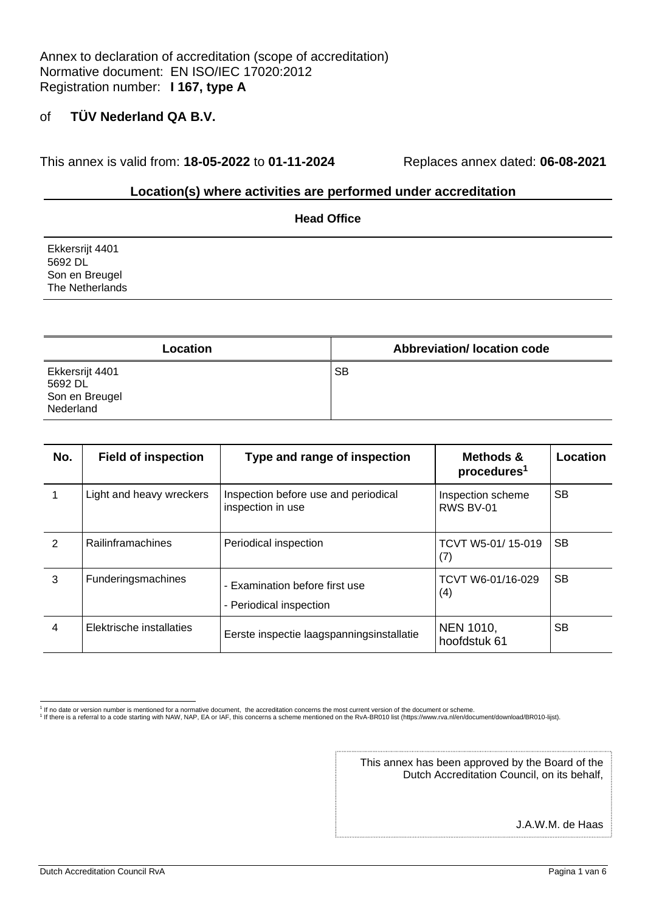This annex is valid from: **18-05-2022** to **01-11-2024** Replaces annex dated: **06-08-2021**

#### **Location(s) where activities are performed under accreditation**

|                                   | <b>Head Office</b> |  |
|-----------------------------------|--------------------|--|
| Ekkersrijt 4401<br>5692 DL        |                    |  |
| Son en Breugel<br>The Netherlands |                    |  |
|                                   |                    |  |

| Location                                                  | <b>Abbreviation/ location code</b> |
|-----------------------------------------------------------|------------------------------------|
| Ekkersrijt 4401<br>5692 DL<br>Son en Breugel<br>Nederland | SВ                                 |

| No. | <b>Field of inspection</b> | Type and range of inspection                              | Methods &<br>procedures <sup>1</sup> | Location  |
|-----|----------------------------|-----------------------------------------------------------|--------------------------------------|-----------|
|     | Light and heavy wreckers   | Inspection before use and periodical<br>inspection in use | Inspection scheme<br>RWS BV-01       | <b>SB</b> |
| 2   | Railinframachines          | Periodical inspection                                     | TCVT W5-01/15-019<br>(7)             | <b>SB</b> |
| 3   | <b>Funderingsmachines</b>  | - Examination before first use<br>- Periodical inspection | TCVT W6-01/16-029<br>(4)             | <b>SB</b> |
| 4   | Elektrische installaties   | Eerste inspectie laagspanningsinstallatie                 | <b>NEN 1010,</b><br>hoofdstuk 61     | <b>SB</b> |

1 If no date or version number is mentioned for a normative document, the accreditation concerns the most current version of the document or scheme.<br>1 If there is a referral to a code starting with NAW, NAP, EA or IAF, thi

This annex has been approved by the Board of the Dutch Accreditation Council, on its behalf,

J.A.W.M. de Haas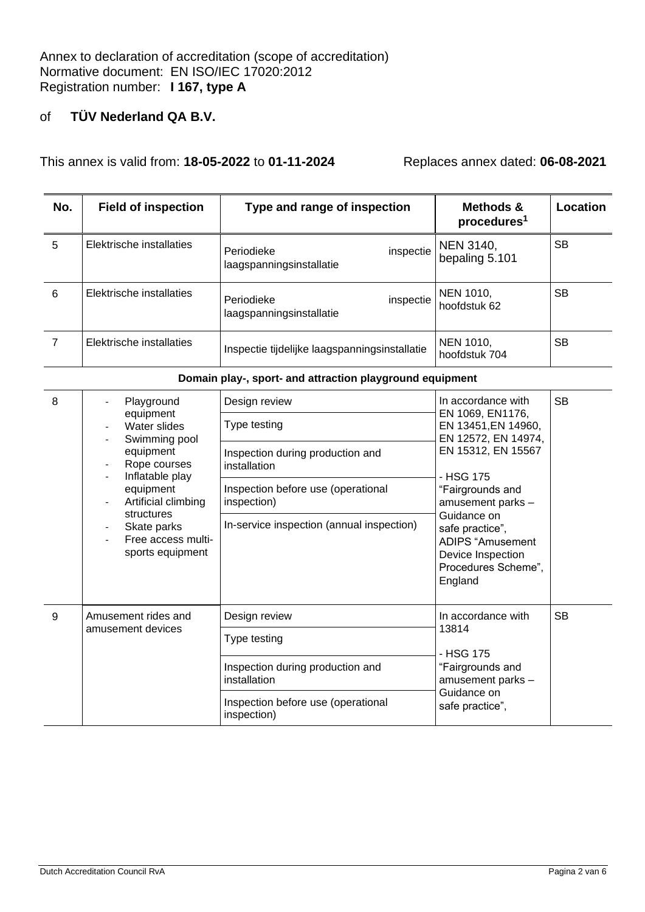This annex is valid from: **18-05-2022** to **01-11-2024** Replaces annex dated: **06-08-2021**

| No. | <b>Field of inspection</b> | Type and range of inspection                        | Methods &<br>procedures <sup>1</sup> | Location  |
|-----|----------------------------|-----------------------------------------------------|--------------------------------------|-----------|
| 5   | Elektrische installaties   | inspectie<br>Periodieke<br>laagspanningsinstallatie | NEN 3140,<br>bepaling 5.101          | <b>SB</b> |
| 6   | Elektrische installaties   | inspectie<br>Periodieke<br>laagspanningsinstallatie | NEN 1010,<br>hoofdstuk 62            | <b>SB</b> |
|     | Elektrische installaties   | Inspectie tijdelijke laagspanningsinstallatie       | NEN 1010,<br>hoofdstuk 704           | <b>SB</b> |

| Domain play-, sport- and attraction playground equipment |  |
|----------------------------------------------------------|--|
|----------------------------------------------------------|--|

| 8 | Playground<br>equipment<br>Water slides<br>Swimming pool<br>equipment<br>Rope courses<br>Inflatable play<br>equipment<br>Artificial climbing<br>structures<br>Skate parks<br>Free access multi-<br>sports equipment | Design review<br>Type testing<br>Inspection during production and<br>installation<br>Inspection before use (operational<br>inspection)<br>In-service inspection (annual inspection) | In accordance with<br>EN 1069, EN1176,<br>EN 13451, EN 14960,<br>EN 12572, EN 14974,<br>EN 15312, EN 15567<br>- HSG 175<br>"Fairgrounds and<br>amusement parks -<br>Guidance on<br>safe practice",<br>ADIPS "Amusement<br>Device Inspection<br>Procedures Scheme",<br>England | <b>SB</b> |
|---|---------------------------------------------------------------------------------------------------------------------------------------------------------------------------------------------------------------------|-------------------------------------------------------------------------------------------------------------------------------------------------------------------------------------|-------------------------------------------------------------------------------------------------------------------------------------------------------------------------------------------------------------------------------------------------------------------------------|-----------|
| 9 | Amusement rides and<br>amusement devices                                                                                                                                                                            | Design review<br>Type testing<br>Inspection during production and<br>installation<br>Inspection before use (operational<br>inspection)                                              | In accordance with<br>13814<br>- HSG 175<br>"Fairgrounds and<br>amusement parks -<br>Guidance on<br>safe practice",                                                                                                                                                           | <b>SB</b> |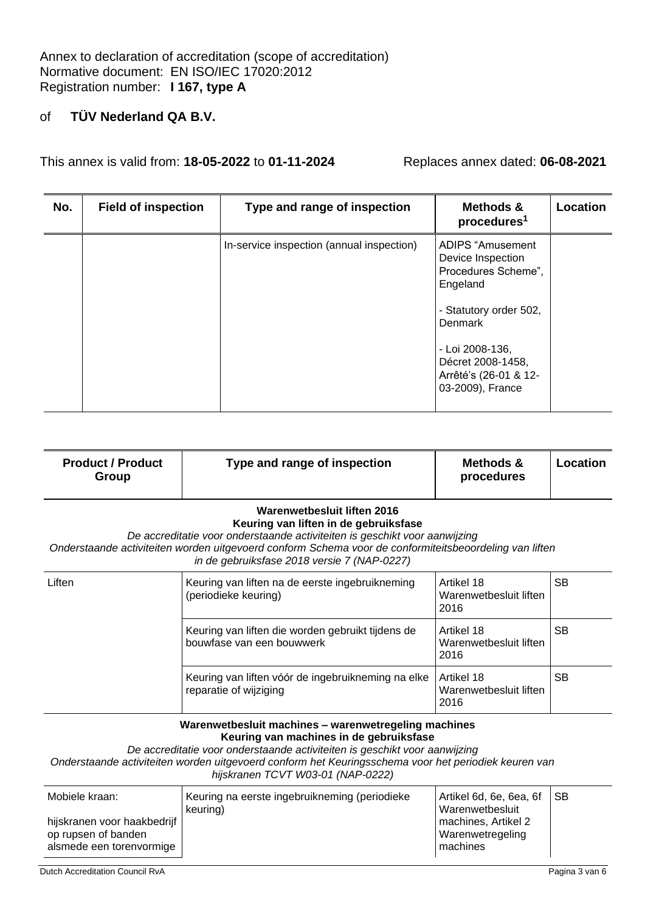Annex to declaration of accreditation (scope of accreditation) Normative document: EN ISO/IEC 17020:2012 Registration number: **I 167, type A**

#### of **TÜV Nederland QA B.V.**

This annex is valid from: **18-05-2022** to **01-11-2024** Replaces annex dated: **06-08-2021**

| No. | <b>Field of inspection</b> | Type and range of inspection              | <b>Methods &amp;</b><br>procedures <sup>1</sup>                                                                                                                                                    | Location |
|-----|----------------------------|-------------------------------------------|----------------------------------------------------------------------------------------------------------------------------------------------------------------------------------------------------|----------|
|     |                            | In-service inspection (annual inspection) | ADIPS "Amusement<br>Device Inspection<br>Procedures Scheme",<br>Engeland<br>- Statutory order 502,<br>Denmark<br>- Loi 2008-136,<br>Décret 2008-1458,<br>Arrêté's (26-01 & 12-<br>03-2009), France |          |

| <b>Product / Product</b><br>Group | Type and range of inspection                                                                           | Methods &<br>procedures | Location |
|-----------------------------------|--------------------------------------------------------------------------------------------------------|-------------------------|----------|
|                                   | Warenwetbesluit liften 2016                                                                            |                         |          |
|                                   | Keuring van liften in de gebruiksfase                                                                  |                         |          |
|                                   | De accreditatie voor onderstaande activiteiten is geschikt voor aanwijzing                             |                         |          |
|                                   | Onderstaande activiteiten worden uitgevoerd conform Schema voor de conformiteitsbeoordeling van liften |                         |          |

*Onderstaande activiteiten worden uitgevoerd conform Schema voor de conformiteitsbeoordeling van liften in de gebruiksfase 2018 versie 7 (NAP-0227)*

| Liften | Keuring van liften na de eerste ingebruikneming<br>(periodieke keuring)        | Artikel 18<br>Warenwetbesluit liften<br>2016 | <b>SB</b> |
|--------|--------------------------------------------------------------------------------|----------------------------------------------|-----------|
|        | Keuring van liften die worden gebruikt tijdens de<br>bouwfase van een bouwwerk | Artikel 18<br>Warenwetbesluit liften<br>2016 | SВ        |
|        | Keuring van liften vóór de ingebruikneming na elke<br>reparatie of wijziging   | Artikel 18<br>Warenwetbesluit liften<br>2016 | SВ        |

**Warenwetbesluit machines – warenwetregeling machines Keuring van machines in de gebruiksfase**

*De accreditatie voor onderstaande activiteiten is geschikt voor aanwijzing*

*Onderstaande activiteiten worden uitgevoerd conform het Keuringsschema voor het periodiek keuren van* 

| hijskranen TCVT W03-01 (NAP-0222) |  |
|-----------------------------------|--|
|-----------------------------------|--|

| Mobiele kraan:                                                                 | Keuring na eerste ingebruikneming (periodieke<br>keuring) | Artikel 6d, 6e, 6ea, 6f SB<br>Warenwetbesluit         |  |
|--------------------------------------------------------------------------------|-----------------------------------------------------------|-------------------------------------------------------|--|
| hijskranen voor haakbedrijf<br>op rupsen of banden<br>alsmede een torenvormige |                                                           | I machines, Artikel 2<br>Warenwetregeling<br>machines |  |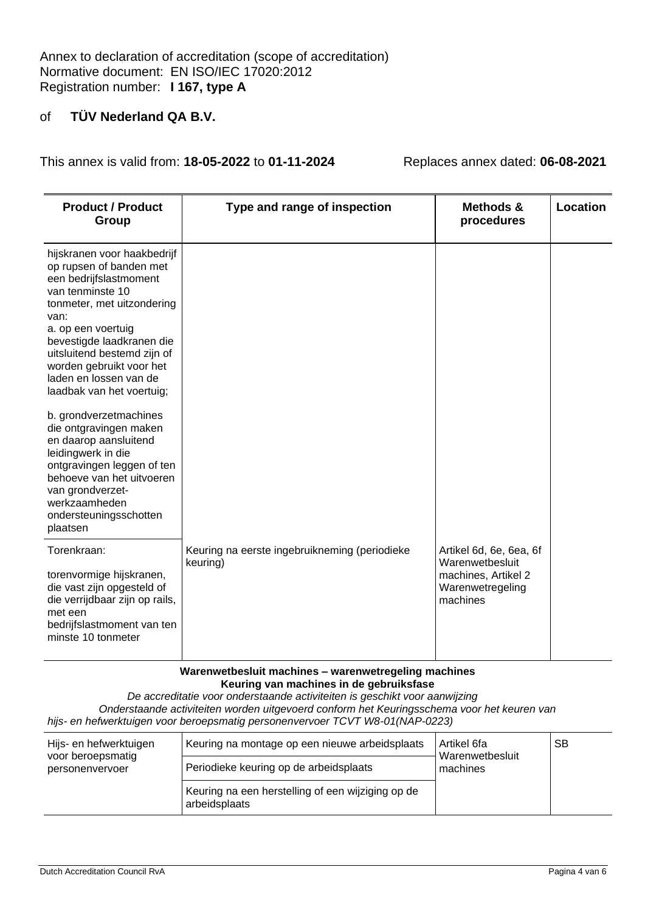This annex is valid from: **18-05-2022** to **01-11-2024** Replaces annex dated: **06-08-2021**

| <b>Product / Product</b><br>Group                                                                                                                                                                                                                                                                               | Type and range of inspection                              | Methods &<br>procedures                                                                           | <b>Location</b> |
|-----------------------------------------------------------------------------------------------------------------------------------------------------------------------------------------------------------------------------------------------------------------------------------------------------------------|-----------------------------------------------------------|---------------------------------------------------------------------------------------------------|-----------------|
| hijskranen voor haakbedrijf<br>op rupsen of banden met<br>een bedrijfslastmoment<br>van tenminste 10<br>tonmeter, met uitzondering<br>van:<br>a. op een voertuig<br>bevestigde laadkranen die<br>uitsluitend bestemd zijn of<br>worden gebruikt voor het<br>laden en lossen van de<br>laadbak van het voertuig; |                                                           |                                                                                                   |                 |
| b. grondverzetmachines<br>die ontgravingen maken<br>en daarop aansluitend<br>leidingwerk in die<br>ontgravingen leggen of ten<br>behoeve van het uitvoeren<br>van grondverzet-<br>werkzaamheden<br>ondersteuningsschotten<br>plaatsen                                                                           |                                                           |                                                                                                   |                 |
| Torenkraan:<br>torenvormige hijskranen,<br>die vast zijn opgesteld of<br>die verrijdbaar zijn op rails,<br>met een<br>bedrijfslastmoment van ten<br>minste 10 tonmeter                                                                                                                                          | Keuring na eerste ingebruikneming (periodieke<br>keuring) | Artikel 6d, 6e, 6ea, 6f<br>Warenwetbesluit<br>machines, Artikel 2<br>Warenwetregeling<br>machines |                 |

**Warenwetbesluit machines – warenwetregeling machines Keuring van machines in de gebruiksfase**

*De accreditatie voor onderstaande activiteiten is geschikt voor aanwijzing Onderstaande activiteiten worden uitgevoerd conform het Keuringsschema voor het keuren van hijs- en hefwerktuigen voor beroepsmatig personenvervoer TCVT W8-01(NAP-0223)*

| Hijs- en hefwerktuigen<br>voor beroepsmatig<br>personenvervoer | Keuring na montage op een nieuwe arbeidsplaats                     | Artikel 6fa<br>Warenwetbesluit<br>machines | <b>SB</b> |
|----------------------------------------------------------------|--------------------------------------------------------------------|--------------------------------------------|-----------|
|                                                                | Periodieke keuring op de arbeidsplaats                             |                                            |           |
|                                                                | Keuring na een herstelling of een wijziging op de<br>arbeidsplaats |                                            |           |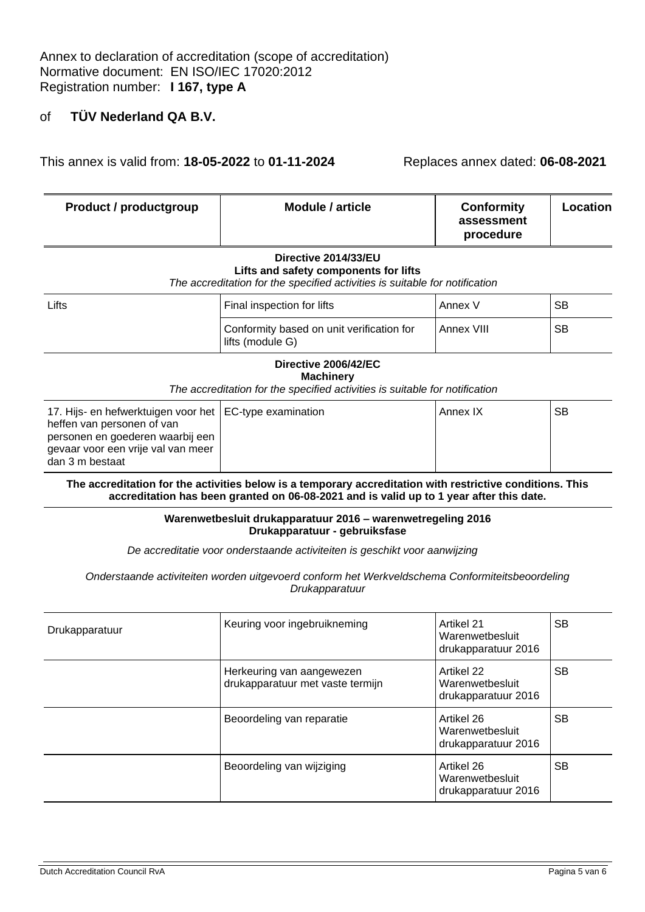This annex is valid from: **18-05-2022** to **01-11-2024** Replaces annex dated: **06-08-2021**

| <b>Product / productgroup</b> | Module / article                                                            | <b>Conformity</b><br>assessment<br>procedure | Location |
|-------------------------------|-----------------------------------------------------------------------------|----------------------------------------------|----------|
| Directive 2014/33/EU          |                                                                             |                                              |          |
|                               | Lifts and safety components for lifts                                       |                                              |          |
|                               | The accreditation for the specified activities is suitable for notification |                                              |          |

| Lifts | Final inspection for lifts                                    | Annex \    | <b>SB</b> |
|-------|---------------------------------------------------------------|------------|-----------|
|       | Conformity based on unit verification for<br>lifts (module G) | Annex VIII | <b>SB</b> |

#### **Directive 2006/42/EC Machinery**

*The accreditation for the specified activities is suitable for notification*

| 17. Hijs- en hefwerktuigen voor het   EC-type examination<br>heffen van personen of van<br>personen en goederen waarbij een | Annex IX | SВ |
|-----------------------------------------------------------------------------------------------------------------------------|----------|----|
| gevaar voor een vrije val van meer<br>dan 3 m bestaat                                                                       |          |    |

**The accreditation for the activities below is a temporary accreditation with restrictive conditions. This accreditation has been granted on 06-08-2021 and is valid up to 1 year after this date.**

> **Warenwetbesluit drukapparatuur 2016 – warenwetregeling 2016 Drukapparatuur - gebruiksfase**

*De accreditatie voor onderstaande activiteiten is geschikt voor aanwijzing*

*Onderstaande activiteiten worden uitgevoerd conform het Werkveldschema Conformiteitsbeoordeling Drukapparatuur* 

| Drukapparatuur | Keuring voor ingebruikneming                                  | Artikel 21<br>Warenwetbesluit<br>drukapparatuur 2016 | <b>SB</b> |
|----------------|---------------------------------------------------------------|------------------------------------------------------|-----------|
|                | Herkeuring van aangewezen<br>drukapparatuur met vaste termijn | Artikel 22<br>Warenwetbesluit<br>drukapparatuur 2016 | <b>SB</b> |
|                | Beoordeling van reparatie                                     | Artikel 26<br>Warenwetbesluit<br>drukapparatuur 2016 | <b>SB</b> |
|                | Beoordeling van wijziging                                     | Artikel 26<br>Warenwetbesluit<br>drukapparatuur 2016 | <b>SB</b> |